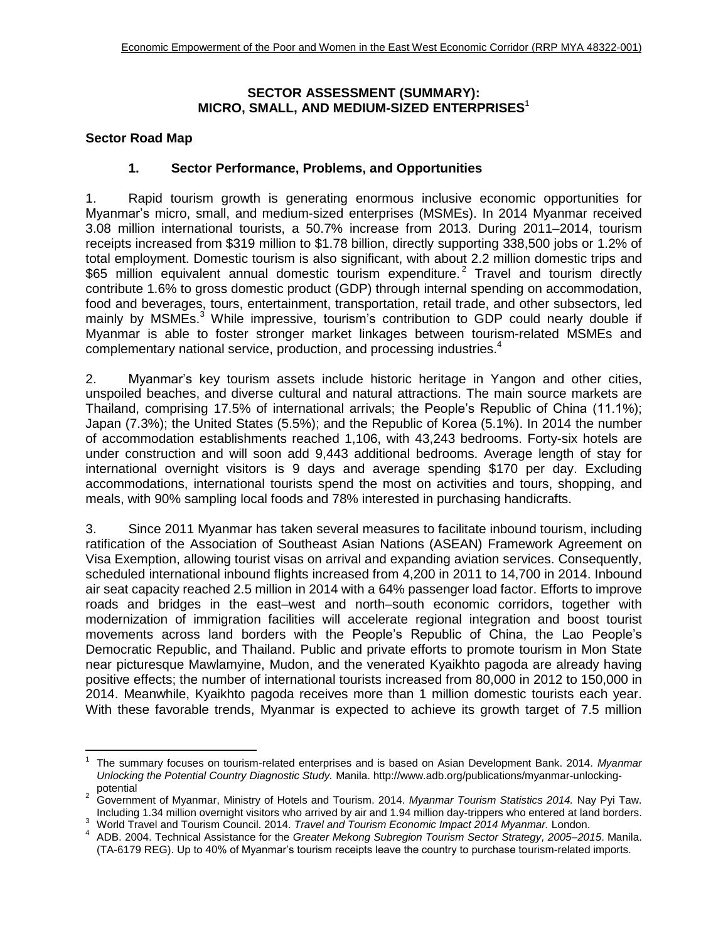### **SECTOR ASSESSMENT (SUMMARY): MICRO, SMALL, AND MEDIUM-SIZED ENTERPRISES** 1

### **Sector Road Map**

 $\overline{a}$ 

### **1. Sector Performance, Problems, and Opportunities**

1. Rapid tourism growth is generating enormous inclusive economic opportunities for Myanmar's micro, small, and medium-sized enterprises (MSMEs). In 2014 Myanmar received 3.08 million international tourists, a 50.7% increase from 2013. During 2011–2014, tourism receipts increased from \$319 million to \$1.78 billion, directly supporting 338,500 jobs or 1.2% of total employment. Domestic tourism is also significant, with about 2.2 million domestic trips and \$65 million equivalent annual domestic tourism expenditure.<sup>2</sup> Travel and tourism directly contribute 1.6% to gross domestic product (GDP) through internal spending on accommodation, food and beverages, tours, entertainment, transportation, retail trade, and other subsectors, led mainly by MSMEs.<sup>3</sup> While impressive, tourism's contribution to GDP could nearly double if Myanmar is able to foster stronger market linkages between tourism-related MSMEs and complementary national service, production, and processing industries.<sup>4</sup>

2. Myanmar's key tourism assets include historic heritage in Yangon and other cities, unspoiled beaches, and diverse cultural and natural attractions. The main source markets are Thailand, comprising 17.5% of international arrivals; the People's Republic of China (11.1%); Japan (7.3%); the United States (5.5%); and the Republic of Korea (5.1%). In 2014 the number of accommodation establishments reached 1,106, with 43,243 bedrooms. Forty-six hotels are under construction and will soon add 9,443 additional bedrooms. Average length of stay for international overnight visitors is 9 days and average spending \$170 per day. Excluding accommodations, international tourists spend the most on activities and tours, shopping, and meals, with 90% sampling local foods and 78% interested in purchasing handicrafts.

3. Since 2011 Myanmar has taken several measures to facilitate inbound tourism, including ratification of the Association of Southeast Asian Nations (ASEAN) Framework Agreement on Visa Exemption, allowing tourist visas on arrival and expanding aviation services. Consequently, scheduled international inbound flights increased from 4,200 in 2011 to 14,700 in 2014. Inbound air seat capacity reached 2.5 million in 2014 with a 64% passenger load factor. Efforts to improve roads and bridges in the east–west and north–south economic corridors, together with modernization of immigration facilities will accelerate regional integration and boost tourist movements across land borders with the People's Republic of China, the Lao People's Democratic Republic, and Thailand. Public and private efforts to promote tourism in Mon State near picturesque Mawlamyine, Mudon, and the venerated Kyaikhto pagoda are already having positive effects; the number of international tourists increased from 80,000 in 2012 to 150,000 in 2014. Meanwhile, Kyaikhto pagoda receives more than 1 million domestic tourists each year. With these favorable trends, Myanmar is expected to achieve its growth target of 7.5 million

<sup>1</sup> The summary focuses on tourism-related enterprises and is based on Asian Development Bank. 2014. *Myanmar Unlocking the Potential Country Diagnostic Study.* Manila. [http://www.adb.org/publications/myanmar-unlocking](http://www.adb.org/publications/myanmar-unlocking-potential)[potential](http://www.adb.org/publications/myanmar-unlocking-potential)

<sup>2</sup> Government of Myanmar, Ministry of Hotels and Tourism. 2014. *Myanmar Tourism Statistics 2014.* Nay Pyi Taw. Including 1.34 million overnight visitors who arrived by air and 1.94 million day-trippers who entered at land borders.

<sup>3</sup> World Travel and Tourism Council. 2014. *Travel and Tourism Economic Impact 2014 Myanmar.* London.

<sup>4</sup> ADB. 2004. Technical Assistance for the *Greater Mekong Subregion Tourism Sector Strategy, 2005–2015*. Manila. (TA-6179 REG). Up to 40% of Myanmar's tourism receipts leave the country to purchase tourism-related imports.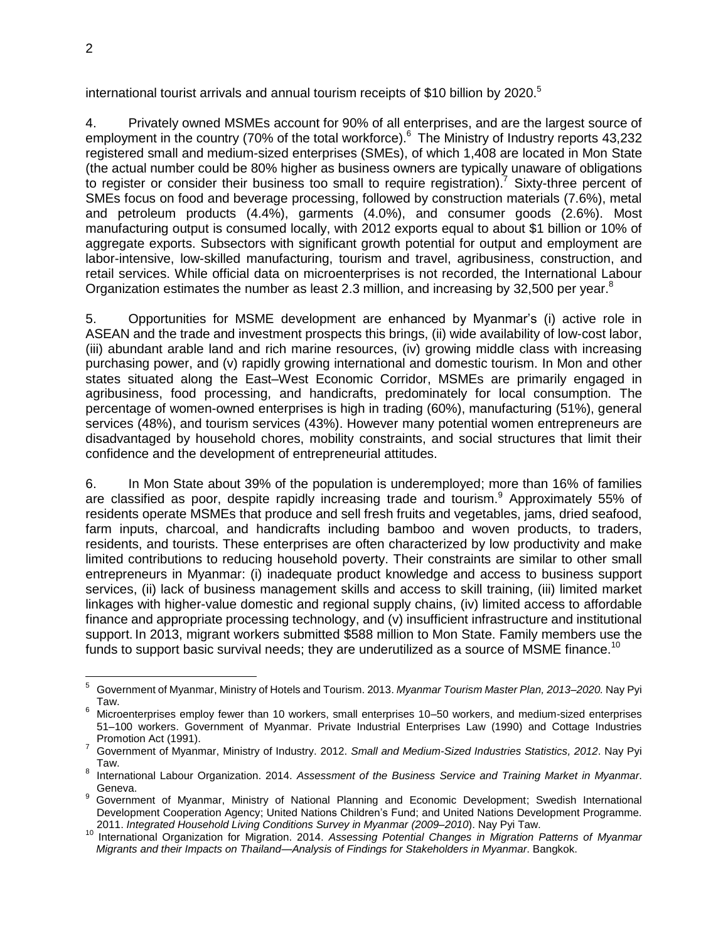international tourist arrivals and annual tourism receipts of \$10 billion by  $2020$ .<sup>5</sup>

4. Privately owned MSMEs account for 90% of all enterprises, and are the largest source of employment in the country (70% of the total workforce).<sup>6</sup> The Ministry of Industry reports 43,232 registered small and medium-sized enterprises (SMEs), of which 1,408 are located in Mon State (the actual number could be 80% higher as business owners are typically unaware of obligations to register or consider their business too small to require registration).<sup>7</sup> Sixty-three percent of SMEs focus on food and beverage processing, followed by construction materials (7.6%), metal and petroleum products (4.4%), garments (4.0%), and consumer goods (2.6%). Most manufacturing output is consumed locally, with 2012 exports equal to about \$1 billion or 10% of aggregate exports. Subsectors with significant growth potential for output and employment are labor-intensive, low-skilled manufacturing, tourism and travel, agribusiness, construction, and retail services. While official data on microenterprises is not recorded, the International Labour Organization estimates the number as least 2.3 million, and increasing by 32,500 per year.<sup>8</sup>

5. Opportunities for MSME development are enhanced by Myanmar's (i) active role in ASEAN and the trade and investment prospects this brings, (ii) wide availability of low-cost labor, (iii) abundant arable land and rich marine resources, (iv) growing middle class with increasing purchasing power, and (v) rapidly growing international and domestic tourism. In Mon and other states situated along the East–West Economic Corridor, MSMEs are primarily engaged in agribusiness, food processing, and handicrafts, predominately for local consumption. The percentage of women-owned enterprises is high in trading (60%), manufacturing (51%), general services (48%), and tourism services (43%). However many potential women entrepreneurs are disadvantaged by household chores, mobility constraints, and social structures that limit their confidence and the development of entrepreneurial attitudes.

6. In Mon State about 39% of the population is underemployed; more than 16% of families are classified as poor, despite rapidly increasing trade and tourism.<sup>9</sup> Approximately 55% of residents operate MSMEs that produce and sell fresh fruits and vegetables, jams, dried seafood, farm inputs, charcoal, and handicrafts including bamboo and woven products, to traders, residents, and tourists. These enterprises are often characterized by low productivity and make limited contributions to reducing household poverty. Their constraints are similar to other small entrepreneurs in Myanmar: (i) inadequate product knowledge and access to business support services, (ii) lack of business management skills and access to skill training, (iii) limited market linkages with higher-value domestic and regional supply chains, (iv) limited access to affordable finance and appropriate processing technology, and (v) insufficient infrastructure and institutional support. In 2013, migrant workers submitted \$588 million to Mon State. Family members use the funds to support basic survival needs; they are underutilized as a source of MSME finance.<sup>10</sup>

<sup>5</sup> <sup>5</sup> Government of Myanmar, Ministry of Hotels and Tourism. 2013. *Myanmar Tourism Master Plan, 2013–2020.* Nay Pyi Taw.

<sup>6</sup> Microenterprises employ fewer than 10 workers, small enterprises 10–50 workers, and medium-sized enterprises 51–100 workers. Government of Myanmar. Private Industrial Enterprises Law (1990) and Cottage Industries Promotion Act (1991).

<sup>7</sup> Government of Myanmar, Ministry of Industry. 2012. *Small and Medium-Sized Industries Statistics, 2012*. Nay Pyi Taw.

<sup>8</sup> International Labour Organization. 2014. *Assessment of the Business Service and Training Market in Myanmar*. Geneva.

<sup>9</sup> Government of Myanmar, Ministry of National Planning and Economic Development; Swedish International Development Cooperation Agency; United Nations Children's Fund; and United Nations Development Programme. 2011. *Integrated Household Living Conditions Survey in Myanmar (2009–2010*). Nay Pyi Taw.

<sup>10</sup> International Organization for Migration. 2014. *Assessing Potential Changes in Migration Patterns of Myanmar Migrants and their Impacts on Thailand*—*Analysis of Findings for Stakeholders in Myanmar*. Bangkok.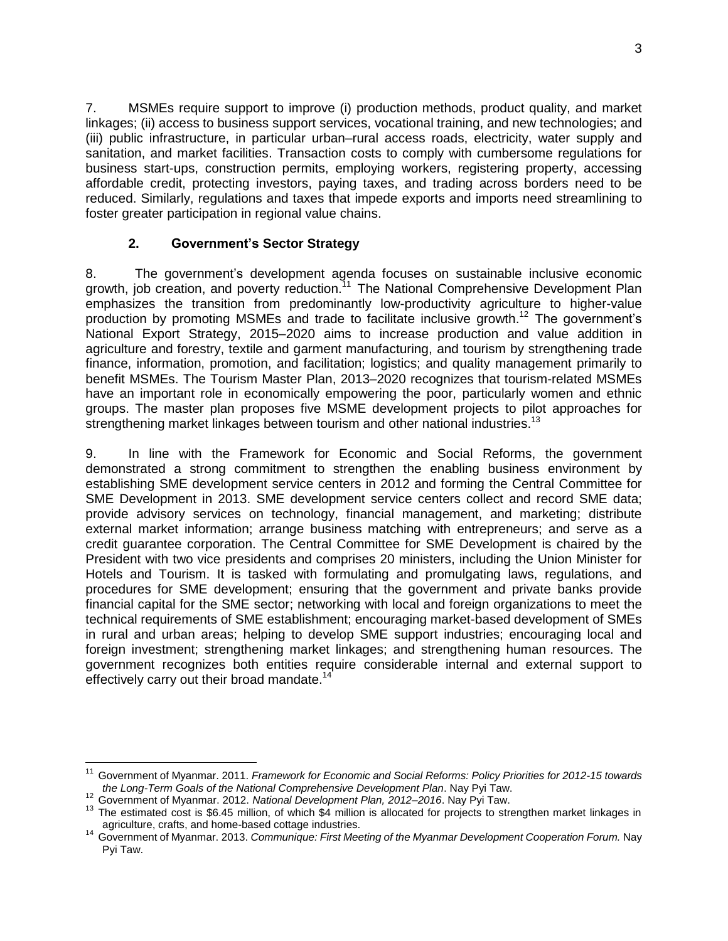7. MSMEs require support to improve (i) production methods, product quality, and market linkages; (ii) access to business support services, vocational training, and new technologies; and (iii) public infrastructure, in particular urban–rural access roads, electricity, water supply and sanitation, and market facilities. Transaction costs to comply with cumbersome regulations for business start-ups, construction permits, employing workers, registering property, accessing affordable credit, protecting investors, paying taxes, and trading across borders need to be reduced. Similarly, regulations and taxes that impede exports and imports need streamlining to foster greater participation in regional value chains.

# **2. Government's Sector Strategy**

8. The government's development agenda focuses on sustainable inclusive economic growth, job creation, and poverty reduction.<sup>11</sup> The National Comprehensive Development Plan emphasizes the transition from predominantly low-productivity agriculture to higher-value production by promoting MSMEs and trade to facilitate inclusive growth.<sup>12</sup> The government's National Export Strategy, 2015–2020 aims to increase production and value addition in agriculture and forestry, textile and garment manufacturing, and tourism by strengthening trade finance, information, promotion, and facilitation; logistics; and quality management primarily to benefit MSMEs. The Tourism Master Plan, 2013–2020 recognizes that tourism-related MSMEs have an important role in economically empowering the poor, particularly women and ethnic groups. The master plan proposes five MSME development projects to pilot approaches for strengthening market linkages between tourism and other national industries.<sup>13</sup>

9. In line with the Framework for Economic and Social Reforms, the government demonstrated a strong commitment to strengthen the enabling business environment by establishing SME development service centers in 2012 and forming the Central Committee for SME Development in 2013. SME development service centers collect and record SME data; provide advisory services on technology, financial management, and marketing; distribute external market information; arrange business matching with entrepreneurs; and serve as a credit guarantee corporation. The Central Committee for SME Development is chaired by the President with two vice presidents and comprises 20 ministers, including the Union Minister for Hotels and Tourism. It is tasked with formulating and promulgating laws, regulations, and procedures for SME development; ensuring that the government and private banks provide financial capital for the SME sector; networking with local and foreign organizations to meet the technical requirements of SME establishment; encouraging market-based development of SMEs in rural and urban areas; helping to develop SME support industries; encouraging local and foreign investment; strengthening market linkages; and strengthening human resources. The government recognizes both entities require considerable internal and external support to effectively carry out their broad mandate.<sup>14</sup>

 $\overline{a}$ 

<sup>11</sup> Government of Myanmar. 2011. *Framework for Economic and Social Reforms: Policy Priorities for 2012-15 towards the Long-Term Goals of the National Comprehensive Development Plan*. Nay Pyi Taw.

<sup>12</sup> Government of Myanmar. 2012. *National Development Plan, 2012–2016*. Nay Pyi Taw.

<sup>&</sup>lt;sup>13</sup> The estimated cost is \$6.45 million, of which \$4 million is allocated for projects to strengthen market linkages in agriculture, crafts, and home-based cottage industries.

<sup>14</sup> Government of Myanmar. 2013. *Communique: First Meeting of the Myanmar Development Cooperation Forum.* Nay Pyi Taw.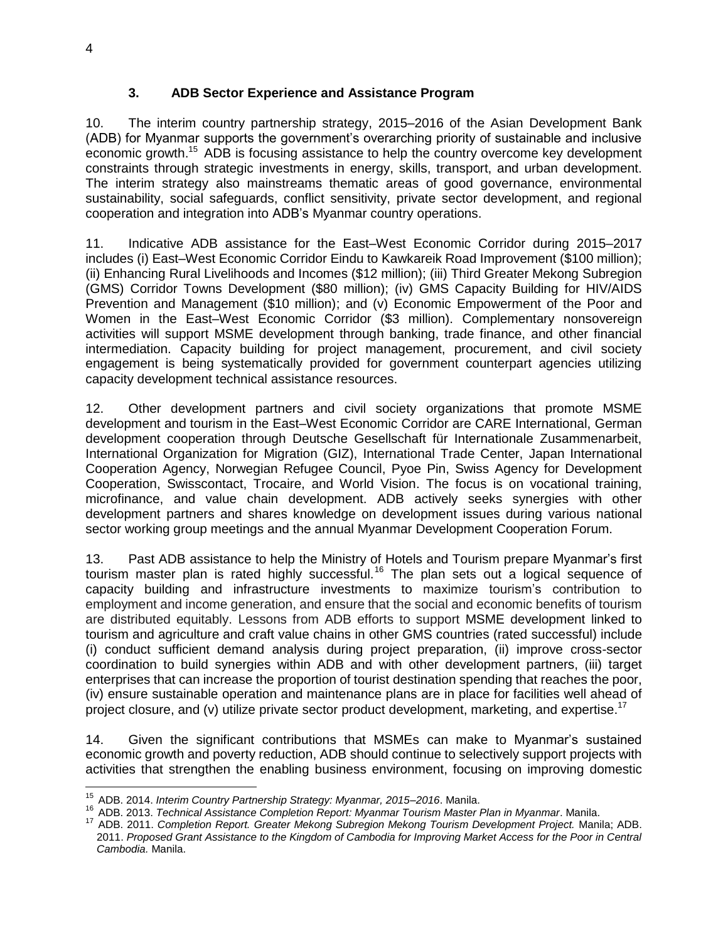# **3. ADB Sector Experience and Assistance Program**

10. The interim country partnership strategy, 2015–2016 of the Asian Development Bank (ADB) for Myanmar supports the government's overarching priority of sustainable and inclusive economic growth.<sup>15</sup> ADB is focusing assistance to help the country overcome key development constraints through strategic investments in energy, skills, transport, and urban development. The interim strategy also mainstreams thematic areas of good governance, environmental sustainability, social safeguards, conflict sensitivity, private sector development, and regional cooperation and integration into ADB's Myanmar country operations.

11. Indicative ADB assistance for the East–West Economic Corridor during 2015–2017 includes (i) East–West Economic Corridor Eindu to Kawkareik Road Improvement (\$100 million); (ii) Enhancing Rural Livelihoods and Incomes (\$12 million); (iii) Third Greater Mekong Subregion (GMS) Corridor Towns Development (\$80 million); (iv) GMS Capacity Building for HIV/AIDS Prevention and Management (\$10 million); and (v) Economic Empowerment of the Poor and Women in the East–West Economic Corridor (\$3 million). Complementary nonsovereign activities will support MSME development through banking, trade finance, and other financial intermediation. Capacity building for project management, procurement, and civil society engagement is being systematically provided for government counterpart agencies utilizing capacity development technical assistance resources.

12. Other development partners and civil society organizations that promote MSME development and tourism in the East–West Economic Corridor are CARE International, German development cooperation through Deutsche Gesellschaft für Internationale Zusammenarbeit, International Organization for Migration (GIZ), International Trade Center, Japan International Cooperation Agency, Norwegian Refugee Council, Pyoe Pin, Swiss Agency for Development Cooperation, Swisscontact, Trocaire, and World Vision. The focus is on vocational training, microfinance, and value chain development. ADB actively seeks synergies with other development partners and shares knowledge on development issues during various national sector working group meetings and the annual Myanmar Development Cooperation Forum.

13. Past ADB assistance to help the Ministry of Hotels and Tourism prepare Myanmar's first tourism master plan is rated highly successful.<sup>16</sup> The plan sets out a logical sequence of capacity building and infrastructure investments to maximize tourism's contribution to employment and income generation, and ensure that the social and economic benefits of tourism are distributed equitably. Lessons from ADB efforts to support MSME development linked to tourism and agriculture and craft value chains in other GMS countries (rated successful) include (i) conduct sufficient demand analysis during project preparation, (ii) improve cross-sector coordination to build synergies within ADB and with other development partners, (iii) target enterprises that can increase the proportion of tourist destination spending that reaches the poor, (iv) ensure sustainable operation and maintenance plans are in place for facilities well ahead of project closure, and (v) utilize private sector product development, marketing, and expertise.<sup>17</sup>

14. Given the significant contributions that MSMEs can make to Myanmar's sustained economic growth and poverty reduction, ADB should continue to selectively support projects with activities that strengthen the enabling business environment, focusing on improving domestic

 $\overline{a}$ 

<sup>15</sup> ADB. 2014. *Interim Country Partnership Strategy: Myanmar, 2015–2016*. Manila.

<sup>16</sup> ADB. 2013. *Technical Assistance Completion Report: Myanmar Tourism Master Plan in Myanmar*. Manila.

<sup>17</sup> ADB. 2011. *Completion Report. Greater Mekong Subregion Mekong Tourism Development Project.* Manila; ADB. 2011. *Proposed Grant Assistance to the Kingdom of Cambodia for Improving Market Access for the Poor in Central Cambodia.* Manila.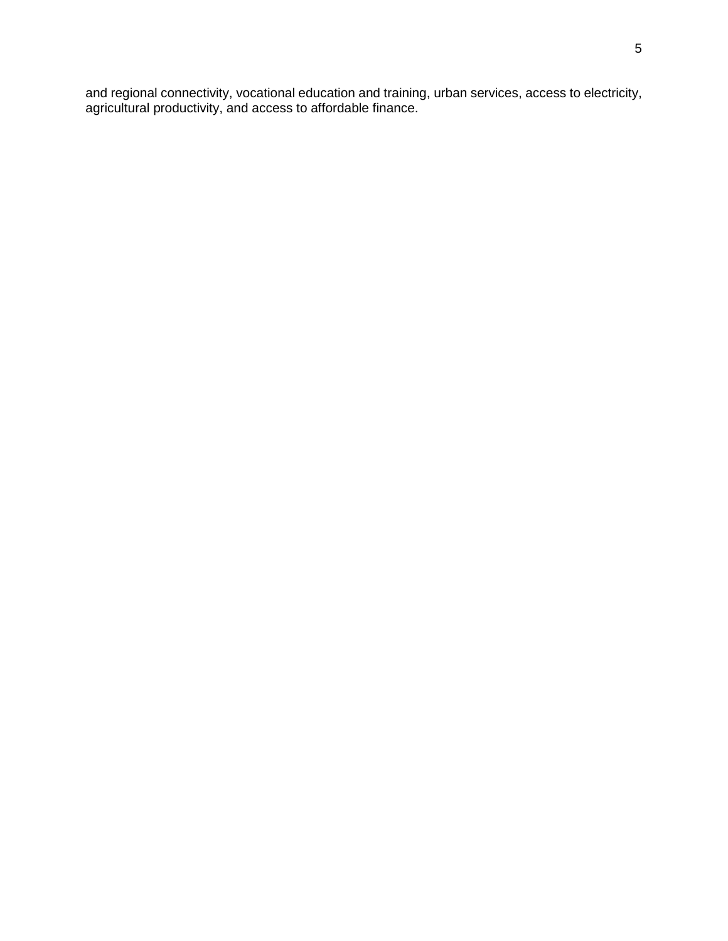and regional connectivity, vocational education and training, urban services, access to electricity, agricultural productivity, and access to affordable finance.